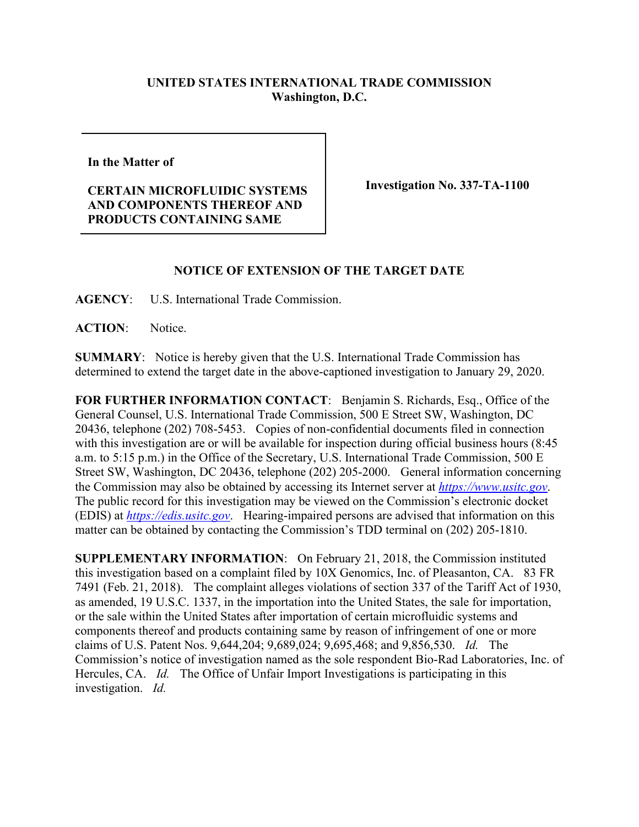## **UNITED STATES INTERNATIONAL TRADE COMMISSION Washington, D.C.**

**In the Matter of** 

**CERTAIN MICROFLUIDIC SYSTEMS AND COMPONENTS THEREOF AND PRODUCTS CONTAINING SAME**

**Investigation No. 337-TA-1100**

## **NOTICE OF EXTENSION OF THE TARGET DATE**

**AGENCY**: U.S. International Trade Commission.

**ACTION**: Notice.

**SUMMARY**: Notice is hereby given that the U.S. International Trade Commission has determined to extend the target date in the above-captioned investigation to January 29, 2020.

**FOR FURTHER INFORMATION CONTACT**: Benjamin S. Richards, Esq., Office of the General Counsel, U.S. International Trade Commission, 500 E Street SW, Washington, DC 20436, telephone (202) 708-5453. Copies of non-confidential documents filed in connection with this investigation are or will be available for inspection during official business hours (8:45 a.m. to 5:15 p.m.) in the Office of the Secretary, U.S. International Trade Commission, 500 E Street SW, Washington, DC 20436, telephone (202) 205-2000. General information concerning the Commission may also be obtained by accessing its Internet server at *[https://www.usitc.gov](https://www.usitc.gov/)*. The public record for this investigation may be viewed on the Commission's electronic docket (EDIS) at *[https://edis.usitc.gov](https://edis.usitc.gov/)*. Hearing-impaired persons are advised that information on this matter can be obtained by contacting the Commission's TDD terminal on (202) 205-1810.

**SUPPLEMENTARY INFORMATION**: On February 21, 2018, the Commission instituted this investigation based on a complaint filed by 10X Genomics, Inc. of Pleasanton, CA. 83 FR 7491 (Feb. 21, 2018). The complaint alleges violations of section 337 of the Tariff Act of 1930, as amended, 19 U.S.C. 1337, in the importation into the United States, the sale for importation, or the sale within the United States after importation of certain microfluidic systems and components thereof and products containing same by reason of infringement of one or more claims of U.S. Patent Nos. 9,644,204; 9,689,024; 9,695,468; and 9,856,530. *Id.* The Commission's notice of investigation named as the sole respondent Bio-Rad Laboratories, Inc. of Hercules, CA. *Id.* The Office of Unfair Import Investigations is participating in this investigation. *Id.*